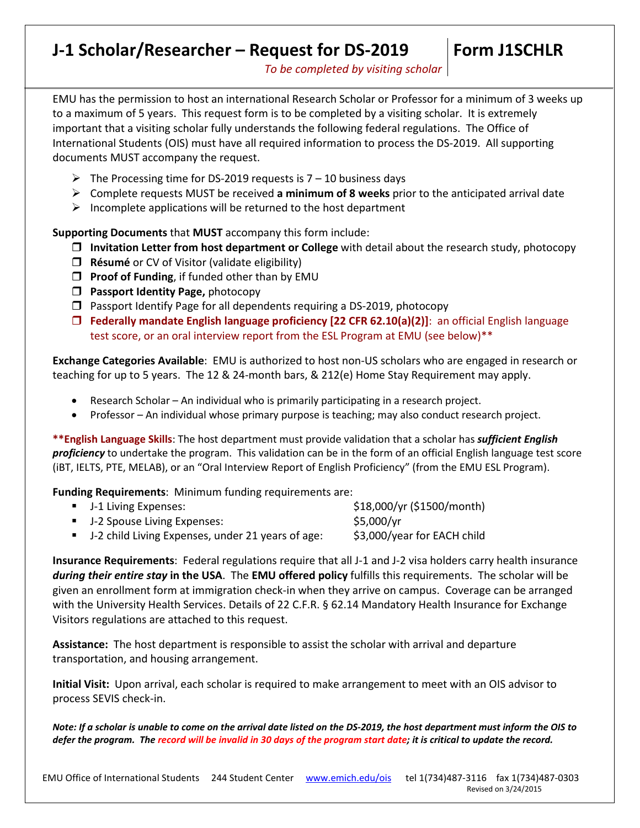# **J-1 Scholar/Researcher – Request for DS-2019**

# **Form J1SCHLR**

*To be completed by visiting scholar*

EMU has the permission to host an international Research Scholar or Professor for a minimum of 3 weeks up to a maximum of 5 years. This request form is to be completed by a visiting scholar. It is extremely important that a visiting scholar fully understands the following federal regulations. The Office of International Students (OIS) must have all required information to process the DS-2019. All supporting documents MUST accompany the request.

- $\triangleright$  The Processing time for DS-2019 requests is 7 10 business days
- Complete requests MUST be received **a minimum of 8 weeks** prior to the anticipated arrival date
- $\triangleright$  Incomplete applications will be returned to the host department

**Supporting Documents** that **MUST** accompany this form include:

- **Invitation Letter from host department or College** with detail about the research study, photocopy
- **Résumé** or CV of Visitor (validate eligibility)
- **Proof of Funding**, if funded other than by EMU
- **Passport Identity Page, photocopy**
- $\Box$  Passport Identify Page for all dependents requiring a DS-2019, photocopy
- **Federally mandate English language proficiency [22 CFR 62.10(a)(2)]**: an official English language test score, or an oral interview report from the ESL Program at EMU (see below)\*\*

**Exchange Categories Available**: EMU is authorized to host non-US scholars who are engaged in research or teaching for up to 5 years. The 12 & 24-month bars, & 212(e) Home Stay Requirement may apply.

- Research Scholar An individual who is primarily participating in a research project.
- Professor An individual whose primary purpose is teaching; may also conduct research project.

**\*\*English Language Skills**: The host department must provide validation that a scholar has *sufficient English proficiency* to undertake the program. This validation can be in the form of an official English language test score (iBT, IELTS, PTE, MELAB), or an "Oral Interview Report of English Proficiency" (from the EMU ESL Program).

**Funding Requirements**: Minimum funding requirements are:

| • J-1 Living Expenses:                              | \$18,000/yr (\$1500/month)  |
|-----------------------------------------------------|-----------------------------|
| ■ J-2 Spouse Living Expenses:                       | \$5,000/yr                  |
| • J-2 child Living Expenses, under 21 years of age: | \$3,000/year for EACH child |

**Insurance Requirements**: Federal regulations require that all J-1 and J-2 visa holders carry health insurance *during their entire stay* **in the USA**. The **EMU offered policy** fulfills this requirements. The scholar will be given an enrollment form at immigration check-in when they arrive on campus. Coverage can be arranged with the University Health Services. Details of 22 C.F.R. § 62.14 Mandatory Health Insurance for Exchange Visitors regulations are attached to this request.

**Assistance:** The host department is responsible to assist the scholar with arrival and departure transportation, and housing arrangement.

**Initial Visit:** Upon arrival, each scholar is required to make arrangement to meet with an OIS advisor to process SEVIS check-in.

*Note: If a scholar is unable to come on the arrival date listed on the DS-2019, the host department must inform the OIS to defer the program. The record will be invalid in 30 days of the program start date; it is critical to update the record.*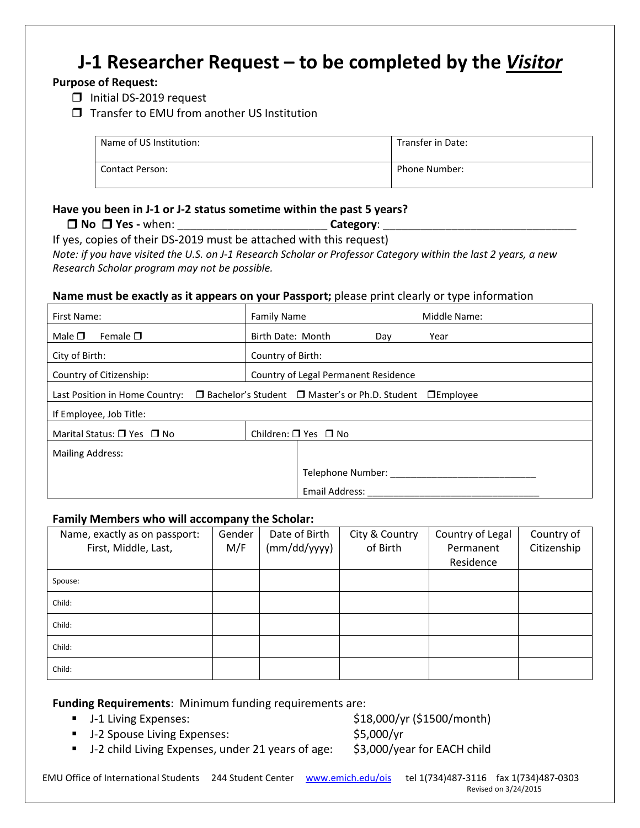# **J-1 Researcher Request – to be completed by the** *Visitor*

## **Purpose of Request:**

- **Initial DS-2019 request**
- $\Box$  Transfer to EMU from another US Institution

| Name of US Institution: | Transfer in Date: |
|-------------------------|-------------------|
| <b>Contact Person:</b>  | Phone Number:     |

## **Have you been in J-1 or J-2 status sometime within the past 5 years?**

| l No<br>$\bigcup$ Yes - $\cdot$<br>when:<br>__<br>$\sim$ $\sim$ | Lategory <sup>.</sup> |  |
|-----------------------------------------------------------------|-----------------------|--|
|-----------------------------------------------------------------|-----------------------|--|

If yes, copies of their DS-2019 must be attached with this request) *Note: if you have visited the U.S. on J-1 Research Scholar or Professor Category within the last 2 years, a new Research Scholar program may not be possible.*

### **Name must be exactly as it appears on your Passport;** please print clearly or type information

| First Name:                                                                                                  | <b>Family Name</b>                   |                |  | Middle Name: |  |
|--------------------------------------------------------------------------------------------------------------|--------------------------------------|----------------|--|--------------|--|
| Male $\square$<br>Female $\square$                                                                           | Birth Date: Month                    | Day            |  | Year         |  |
| City of Birth:                                                                                               | Country of Birth:                    |                |  |              |  |
| Country of Citizenship:                                                                                      | Country of Legal Permanent Residence |                |  |              |  |
| $\Box$ Bachelor's Student $\Box$ Master's or Ph.D. Student $\Box$ Employee<br>Last Position in Home Country: |                                      |                |  |              |  |
| If Employee, Job Title:                                                                                      |                                      |                |  |              |  |
| Marital Status: $\Box$ Yes $\Box$ No                                                                         | Children: $\Box$ Yes $\Box$ No       |                |  |              |  |
| <b>Mailing Address:</b>                                                                                      |                                      |                |  |              |  |
|                                                                                                              | Telephone Number:                    |                |  |              |  |
|                                                                                                              |                                      | Email Address: |  |              |  |

#### **Family Members who will accompany the Scholar:**

| Name, exactly as on passport:<br>First, Middle, Last, | Gender<br>M/F | Date of Birth<br>(mm/dd/yyyy) | City & Country<br>of Birth | Country of Legal<br>Permanent<br>Residence | Country of<br>Citizenship |
|-------------------------------------------------------|---------------|-------------------------------|----------------------------|--------------------------------------------|---------------------------|
| Spouse:                                               |               |                               |                            |                                            |                           |
| Child:                                                |               |                               |                            |                                            |                           |
| Child:                                                |               |                               |                            |                                            |                           |
| Child:                                                |               |                               |                            |                                            |                           |
| Child:                                                |               |                               |                            |                                            |                           |

**Funding Requirements**: Minimum funding requirements are:

- J-1 Living Expenses: \$18,000/yr (\$1500/month)
- 
- J-2 Spouse Living Expenses:  $$5,000/yr$

■ J-2 child Living Expenses, under 21 years of age: \$3,000/year for EACH child

EMU Office of International Students 244 Student Center [www.emich.edu/ois](http://www.emich.edu/ois) tel 1(734)487-3116 fax 1(734)487-0303 Revised on 3/24/2015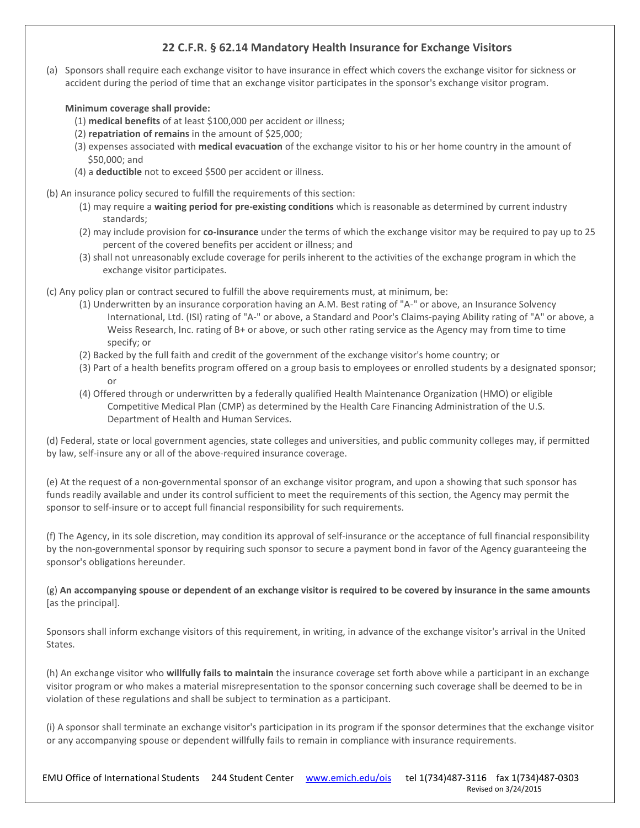### **22 C.F.R. § 62.14 Mandatory Health Insurance for Exchange Visitors**

(a) Sponsors shall require each exchange visitor to have insurance in effect which covers the exchange visitor for sickness or accident during the period of time that an exchange visitor participates in the sponsor's exchange visitor program.

**Minimum coverage shall provide:**

- (1) **medical benefits** of at least \$100,000 per accident or illness;
- (2) **repatriation of remains** in the amount of \$25,000;
- (3) expenses associated with **medical evacuation** of the exchange visitor to his or her home country in the amount of \$50,000; and
- (4) a **deductible** not to exceed \$500 per accident or illness.

(b) An insurance policy secured to fulfill the requirements of this section:

- (1) may require a **waiting period for pre-existing conditions** which is reasonable as determined by current industry standards;
- (2) may include provision for **co-insurance** under the terms of which the exchange visitor may be required to pay up to 25 percent of the covered benefits per accident or illness; and
- (3) shall not unreasonably exclude coverage for perils inherent to the activities of the exchange program in which the exchange visitor participates.

(c) Any policy plan or contract secured to fulfill the above requirements must, at minimum, be:

- (1) Underwritten by an insurance corporation having an A.M. Best rating of "A-" or above, an Insurance Solvency International, Ltd. (ISI) rating of "A-" or above, a Standard and Poor's Claims-paying Ability rating of "A" or above, a Weiss Research, Inc. rating of B+ or above, or such other rating service as the Agency may from time to time specify; or
- (2) Backed by the full faith and credit of the government of the exchange visitor's home country; or
- (3) Part of a health benefits program offered on a group basis to employees or enrolled students by a designated sponsor; or
- (4) Offered through or underwritten by a federally qualified Health Maintenance Organization (HMO) or eligible Competitive Medical Plan (CMP) as determined by the Health Care Financing Administration of the U.S. Department of Health and Human Services.

(d) Federal, state or local government agencies, state colleges and universities, and public community colleges may, if permitted by law, self-insure any or all of the above-required insurance coverage.

(e) At the request of a non-governmental sponsor of an exchange visitor program, and upon a showing that such sponsor has funds readily available and under its control sufficient to meet the requirements of this section, the Agency may permit the sponsor to self-insure or to accept full financial responsibility for such requirements.

(f) The Agency, in its sole discretion, may condition its approval of self-insurance or the acceptance of full financial responsibility by the non-governmental sponsor by requiring such sponsor to secure a payment bond in favor of the Agency guaranteeing the sponsor's obligations hereunder.

(g) **An accompanying spouse or dependent of an exchange visitor is required to be covered by insurance in the same amounts** [as the principal].

Sponsors shall inform exchange visitors of this requirement, in writing, in advance of the exchange visitor's arrival in the United States.

(h) An exchange visitor who **willfully fails to maintain** the insurance coverage set forth above while a participant in an exchange visitor program or who makes a material misrepresentation to the sponsor concerning such coverage shall be deemed to be in violation of these regulations and shall be subject to termination as a participant.

(i) A sponsor shall terminate an exchange visitor's participation in its program if the sponsor determines that the exchange visitor or any accompanying spouse or dependent willfully fails to remain in compliance with insurance requirements.

EMU Office of International Students 244 Student Center [www.emich.edu/ois](http://www.emich.edu/ois) tel 1(734)487-3116 fax 1(734)487-0303 Revised on 3/24/2015